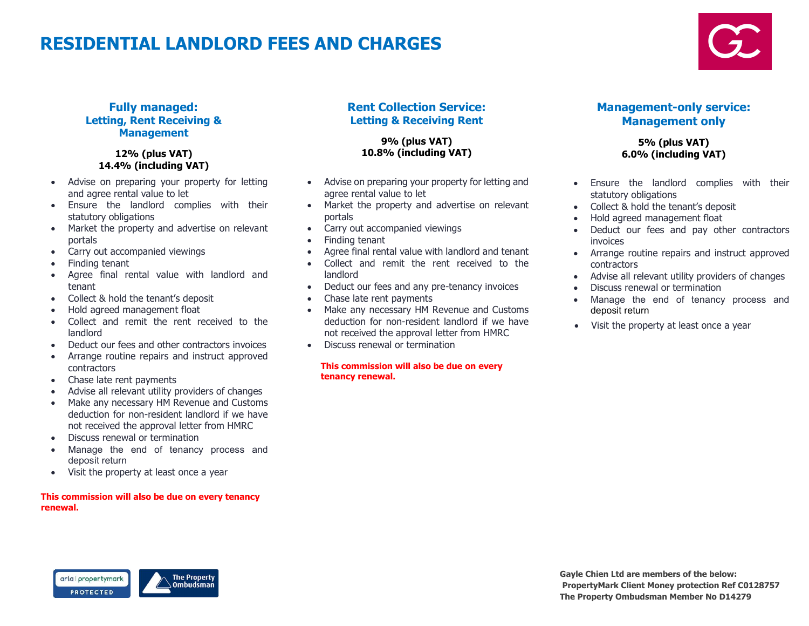# RESIDENTIAL LANDLORD FEES AND CHARGES



## Fully managed: Letting, Rent Receiving & Management

### 1**2**% (plus VAT) 1**4.4**% (including VAT)

- Advise on preparing your property for letting and agree rental value to let
- Ensure the landlord complies with their statutory obligations
- Market the property and advertise on relevant portals
- Carry out accompanied viewings
- Finding tenant
- Agree final rental value with landlord and tenant
- Collect & hold the tenant's deposit
- Hold agreed management float
- Collect and remit the rent received to the landlord
- Deduct our fees and other contractors invoices
- Arrange routine repairs and instruct approved contractors
- Chase late rent payments
- Advise all relevant utility providers of changes
- Make any necessary HM Revenue and Customs deduction for non-resident landlord if we have not received the approval letter from HMRC
- Discuss renewal or termination
- Manage the end of tenancy process and deposit return
- Visit the property at least once a year

#### This commission will also be due on every tenancy renewal.

## Rent Collection Service: Letting & Receiving Rent

**9**% (plus VAT) **10.8**% (including VAT)

- Advise on preparing your property for letting and agree rental value to let
- Market the property and advertise on relevant portals
- Carry out accompanied viewings
- Finding tenant
- Agree final rental value with landlord and tenant
- Collect and remit the rent received to the landlord
- Deduct our fees and any pre-tenancy invoices
- Chase late rent payments
- Make any necessary HM Revenue and Customs deduction for non-resident landlord if we have not received the approval letter from HMRC
- Discuss renewal or termination

#### This commission will also be due on every tenancy renewal.

## Management-only service: Management only

### **5**% (plus VAT) 6**.0**% (including VAT)

- Ensure the landlord complies with their statutory obligations
- Collect & hold the tenant's deposit
- Hold agreed management float
- Deduct our fees and pay other contractors invoices
- Arrange routine repairs and instruct approved contractors
- Advise all relevant utility providers of changes
- Discuss renewal or termination
- Manage the end of tenancy process and deposit return
- Visit the property at least once a year